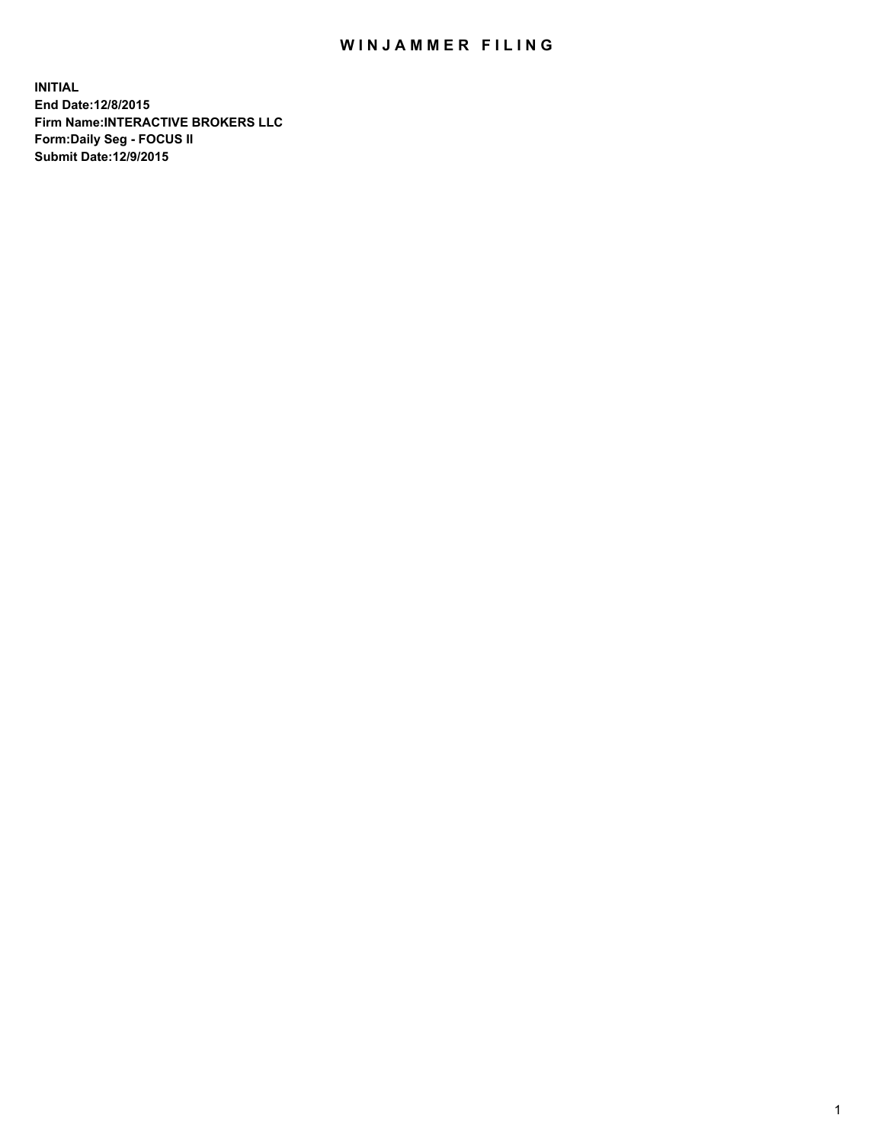## WIN JAMMER FILING

**INITIAL End Date:12/8/2015 Firm Name:INTERACTIVE BROKERS LLC Form:Daily Seg - FOCUS II Submit Date:12/9/2015**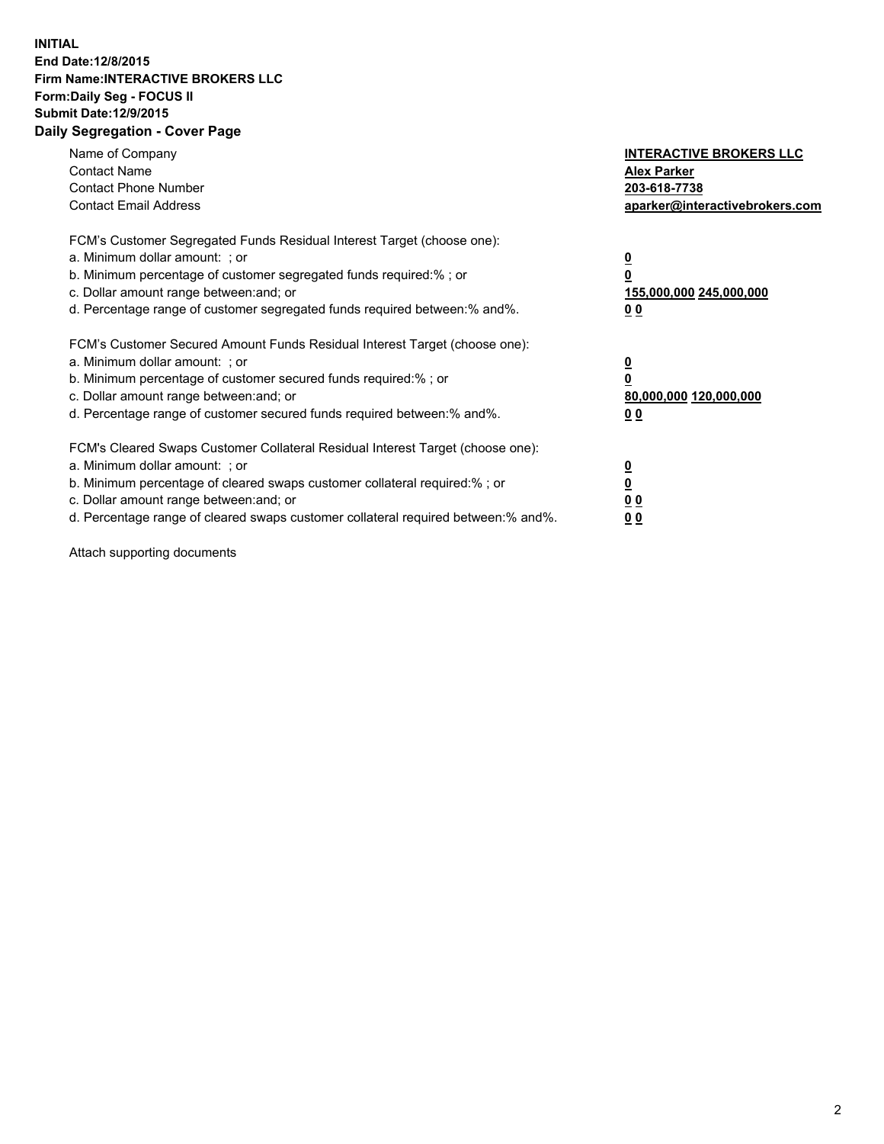## **INITIAL End Date:12/8/2015 Firm Name:INTERACTIVE BROKERS LLC Form:Daily Seg - FOCUS II Submit Date:12/9/2015 Daily Segregation - Cover Page**

| Name of Company<br><b>Contact Name</b><br><b>Contact Phone Number</b><br><b>Contact Email Address</b>                                                                                                                                                                                                                         | <b>INTERACTIVE BROKERS LLC</b><br><b>Alex Parker</b><br>203-618-7738<br>aparker@interactivebrokers.com |
|-------------------------------------------------------------------------------------------------------------------------------------------------------------------------------------------------------------------------------------------------------------------------------------------------------------------------------|--------------------------------------------------------------------------------------------------------|
| FCM's Customer Segregated Funds Residual Interest Target (choose one):<br>a. Minimum dollar amount: ; or<br>b. Minimum percentage of customer segregated funds required:% ; or<br>c. Dollar amount range between: and; or<br>d. Percentage range of customer segregated funds required between:% and%.                        | <u>0</u><br>155,000,000 245,000,000<br>0 <sub>0</sub>                                                  |
| FCM's Customer Secured Amount Funds Residual Interest Target (choose one):<br>a. Minimum dollar amount: ; or<br>b. Minimum percentage of customer secured funds required:%; or<br>c. Dollar amount range between: and; or<br>d. Percentage range of customer secured funds required between: % and %.                         | <u>0</u><br>80,000,000 120,000,000<br><u>00</u>                                                        |
| FCM's Cleared Swaps Customer Collateral Residual Interest Target (choose one):<br>a. Minimum dollar amount: ; or<br>b. Minimum percentage of cleared swaps customer collateral required:%; or<br>c. Dollar amount range between: and; or<br>d. Percentage range of cleared swaps customer collateral required between:% and%. | <u>0</u><br>0 <sub>0</sub><br>0 <sub>0</sub>                                                           |

Attach supporting documents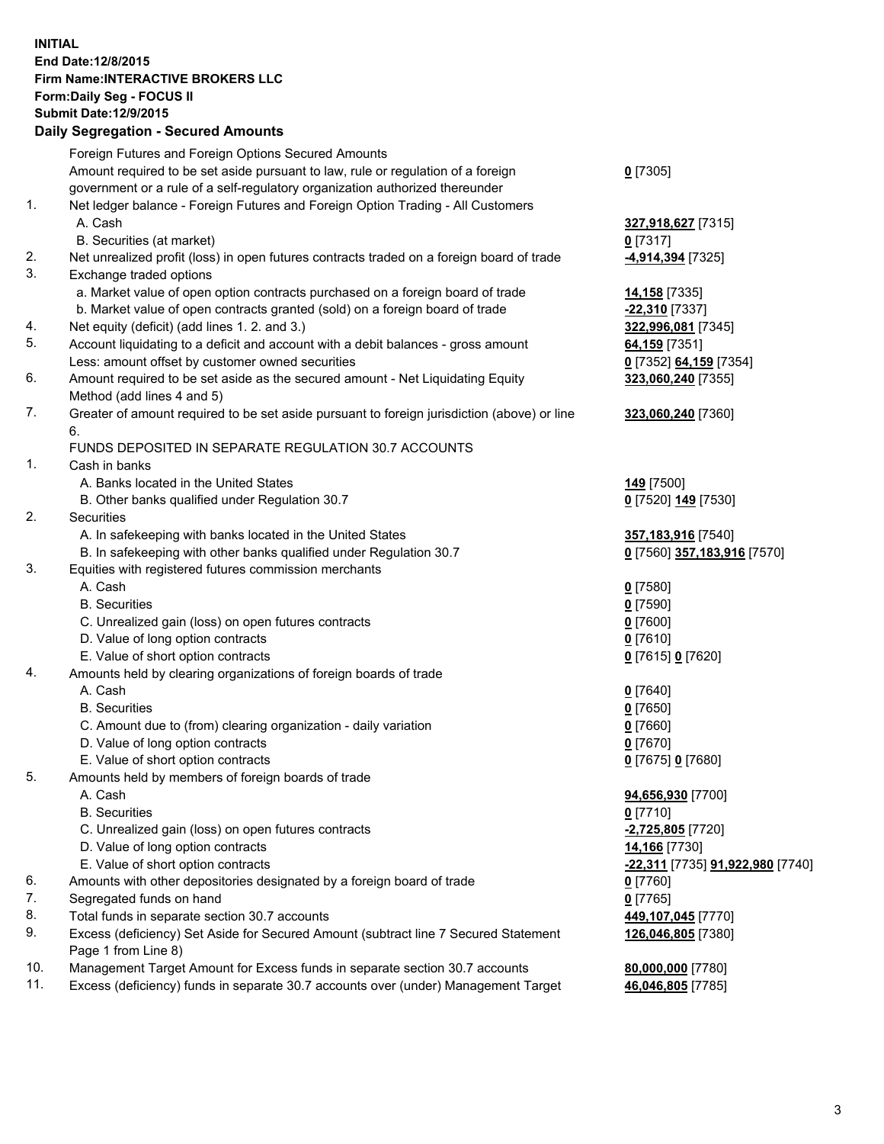## **INITIAL End Date:12/8/2015 Firm Name:INTERACTIVE BROKERS LLC Form:Daily Seg - FOCUS II Submit Date:12/9/2015 Daily Segregation - Secured Amounts**

|     | Daily Ocglegation - Occuled Amounts                                                                        |                                  |
|-----|------------------------------------------------------------------------------------------------------------|----------------------------------|
|     | Foreign Futures and Foreign Options Secured Amounts                                                        |                                  |
|     | Amount required to be set aside pursuant to law, rule or regulation of a foreign                           | $0$ [7305]                       |
|     | government or a rule of a self-regulatory organization authorized thereunder                               |                                  |
| 1.  | Net ledger balance - Foreign Futures and Foreign Option Trading - All Customers                            |                                  |
|     | A. Cash                                                                                                    | 327,918,627 [7315]               |
|     | B. Securities (at market)                                                                                  | $0$ [7317]                       |
| 2.  | Net unrealized profit (loss) in open futures contracts traded on a foreign board of trade                  | -4,914,394 [7325]                |
| 3.  | Exchange traded options                                                                                    |                                  |
|     | a. Market value of open option contracts purchased on a foreign board of trade                             | 14,158 [7335]                    |
|     | b. Market value of open contracts granted (sold) on a foreign board of trade                               | -22,310 [7337]                   |
| 4.  | Net equity (deficit) (add lines 1. 2. and 3.)                                                              | 322,996,081 [7345]               |
| 5.  | Account liquidating to a deficit and account with a debit balances - gross amount                          | 64,159 [7351]                    |
|     | Less: amount offset by customer owned securities                                                           | 0 [7352] 64,159 [7354]           |
| 6.  | Amount required to be set aside as the secured amount - Net Liquidating Equity                             | 323,060,240 [7355]               |
|     | Method (add lines 4 and 5)                                                                                 |                                  |
| 7.  | Greater of amount required to be set aside pursuant to foreign jurisdiction (above) or line                | 323,060,240 [7360]               |
|     | 6.                                                                                                         |                                  |
|     | FUNDS DEPOSITED IN SEPARATE REGULATION 30.7 ACCOUNTS                                                       |                                  |
| 1.  | Cash in banks                                                                                              |                                  |
|     | A. Banks located in the United States                                                                      | <b>149</b> [7500]                |
|     | B. Other banks qualified under Regulation 30.7                                                             | 0 [7520] 149 [7530]              |
| 2.  | Securities                                                                                                 |                                  |
|     | A. In safekeeping with banks located in the United States                                                  | 357,183,916 [7540]               |
|     | B. In safekeeping with other banks qualified under Regulation 30.7                                         | 0 [7560] 357,183,916 [7570]      |
| 3.  | Equities with registered futures commission merchants                                                      |                                  |
|     | A. Cash                                                                                                    | $0$ [7580]                       |
|     | <b>B.</b> Securities                                                                                       | $0$ [7590]                       |
|     | C. Unrealized gain (loss) on open futures contracts                                                        | $0$ [7600]                       |
|     | D. Value of long option contracts                                                                          | $0$ [7610]                       |
|     | E. Value of short option contracts                                                                         | 0 [7615] 0 [7620]                |
| 4.  | Amounts held by clearing organizations of foreign boards of trade                                          |                                  |
|     | A. Cash                                                                                                    | $0$ [7640]                       |
|     | <b>B.</b> Securities                                                                                       | $0$ [7650]                       |
|     | C. Amount due to (from) clearing organization - daily variation                                            | $0$ [7660]                       |
|     | D. Value of long option contracts                                                                          | $0$ [7670]                       |
|     | E. Value of short option contracts                                                                         | 0 [7675] 0 [7680]                |
| 5.  | Amounts held by members of foreign boards of trade                                                         |                                  |
|     | A. Cash                                                                                                    | 94,656,930 [7700]                |
|     | <b>B.</b> Securities                                                                                       | $0$ [7710]                       |
|     | C. Unrealized gain (loss) on open futures contracts                                                        | -2,725,805 [7720]                |
|     | D. Value of long option contracts                                                                          | 14,166 [7730]                    |
|     | E. Value of short option contracts                                                                         | -22,311 [7735] 91,922,980 [7740] |
| 6.  | Amounts with other depositories designated by a foreign board of trade                                     | 0 [7760]                         |
| 7.  | Segregated funds on hand                                                                                   | $0$ [7765]                       |
| 8.  | Total funds in separate section 30.7 accounts                                                              | 449,107,045 [7770]               |
| 9.  | Excess (deficiency) Set Aside for Secured Amount (subtract line 7 Secured Statement<br>Page 1 from Line 8) | 126,046,805 [7380]               |
| 10. | Management Target Amount for Excess funds in separate section 30.7 accounts                                | 80,000,000 [7780]                |
| 11. | Excess (deficiency) funds in separate 30.7 accounts over (under) Management Target                         | 46,046,805 [7785]                |
|     |                                                                                                            |                                  |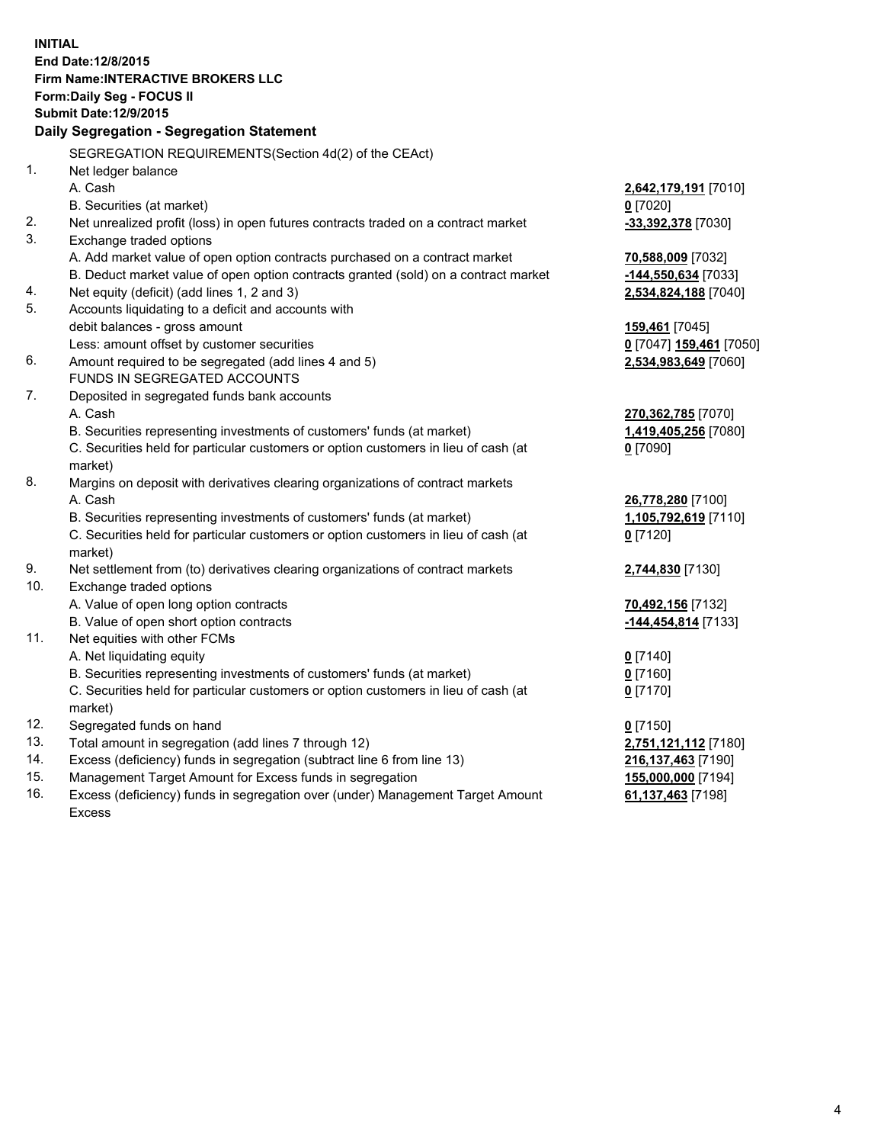**INITIAL End Date:12/8/2015 Firm Name:INTERACTIVE BROKERS LLC Form:Daily Seg - FOCUS II Submit Date:12/9/2015 Daily Segregation - Segregation Statement** SEGREGATION REQUIREMENTS(Section 4d(2) of the CEAct) 1. Net ledger balance A. Cash **2,642,179,191** [7010] B. Securities (at market) **0** [7020] 2. Net unrealized profit (loss) in open futures contracts traded on a contract market **-33,392,378** [7030] 3. Exchange traded options A. Add market value of open option contracts purchased on a contract market **70,588,009** [7032] B. Deduct market value of open option contracts granted (sold) on a contract market **-144,550,634** [7033] 4. Net equity (deficit) (add lines 1, 2 and 3) **2,534,824,188** [7040] 5. Accounts liquidating to a deficit and accounts with debit balances - gross amount **159,461** [7045] Less: amount offset by customer securities **0** [7047] **159,461** [7050] 6. Amount required to be segregated (add lines 4 and 5) **2,534,983,649** [7060] FUNDS IN SEGREGATED ACCOUNTS 7. Deposited in segregated funds bank accounts A. Cash **270,362,785** [7070] B. Securities representing investments of customers' funds (at market) **1,419,405,256** [7080] C. Securities held for particular customers or option customers in lieu of cash (at market) **0** [7090] 8. Margins on deposit with derivatives clearing organizations of contract markets A. Cash **26,778,280** [7100] B. Securities representing investments of customers' funds (at market) **1,105,792,619** [7110] C. Securities held for particular customers or option customers in lieu of cash (at market) **0** [7120] 9. Net settlement from (to) derivatives clearing organizations of contract markets **2,744,830** [7130] 10. Exchange traded options A. Value of open long option contracts **70,492,156** [7132] B. Value of open short option contracts **-144,454,814** [7133] 11. Net equities with other FCMs A. Net liquidating equity **0** [7140] B. Securities representing investments of customers' funds (at market) **0** [7160] C. Securities held for particular customers or option customers in lieu of cash (at market) **0** [7170] 12. Segregated funds on hand **0** [7150] 13. Total amount in segregation (add lines 7 through 12) **2,751,121,112** [7180] 14. Excess (deficiency) funds in segregation (subtract line 6 from line 13) **216,137,463** [7190] 15. Management Target Amount for Excess funds in segregation **155,000,000** [7194] **61,137,463** [7198]

16. Excess (deficiency) funds in segregation over (under) Management Target Amount Excess